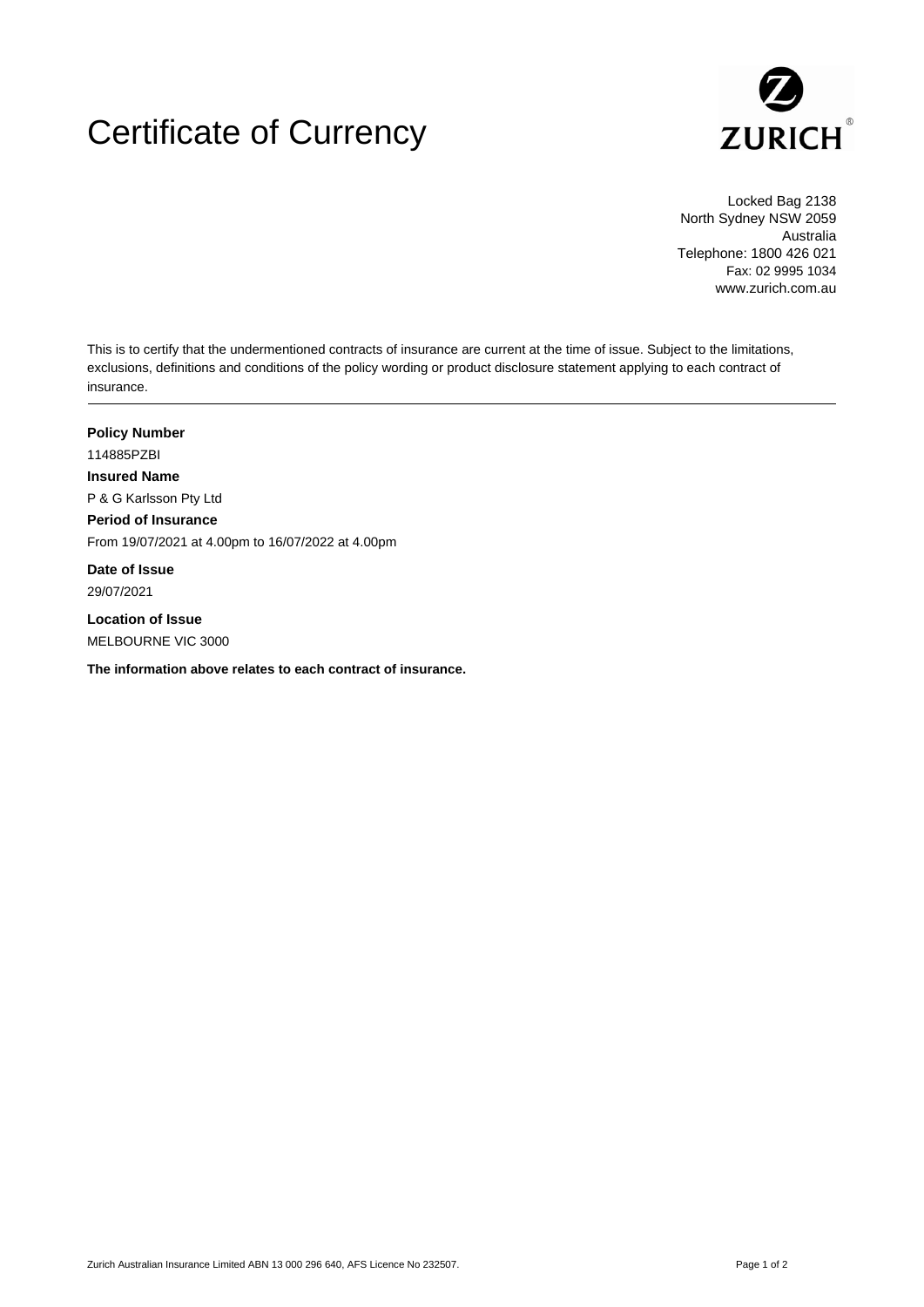## Certificate of Currency



Locked Bag 2138 North Sydney NSW 2059 Australia Telephone: 1800 426 021 Fax: 02 9995 1034 www.zurich.com.au

This is to certify that the undermentioned contracts of insurance are current at the time of issue. Subject to the limitations, exclusions, definitions and conditions of the policy wording or product disclosure statement applying to each contract of insurance.

**Policy Number** 114885PZBI **Insured Name** P & G Karlsson Pty Ltd **Period of Insurance** From 19/07/2021 at 4.00pm to 16/07/2022 at 4.00pm

**Date of Issue** 29/07/2021

**Location of Issue** MELBOURNE VIC 3000

**The information above relates to each contract of insurance.**